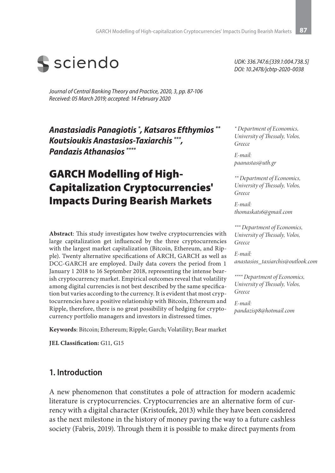

*Journal of Central Banking Theory and Practice, 2020, 3, pp. 87-106 Received: 05 March 2019; accepted: 14 February 2020*

*Anastasiadis Panagiotis \* , Katsaros Efthymios \*\* Koutsioukis Anastasios-Taxiarchis \*\*\*, Pandazis Athanasios \*\*\*\**

# GARCH Modelling of High-Capitalization Cryptocurrencies' Impacts During Bearish Markets

**Abstract**: This study investigates how twelve cryptocurrencies with large capitalization get influenced by the three cryptocurrencies with the largest market capitalization (Bitcoin, Ethereum, and Ripple). Twenty alternative specifications of ARCH, GARCH as well as DCC-GARCH are employed. Daily data covers the period from 1 January 1 2018 to 16 September 2018, representing the intense bearish cryptocurrency market. Empirical outcomes reveal that volatility among digital currencies is not best described by the same specification but varies according to the currency. It is evident that most cryptocurrencies have a positive relationship with Bitcoin, Ethereum and Ripple, therefore, there is no great possibility of hedging for cryptocurrency portfolio managers and investors in distressed times.

**Keywords**: Bitcoin; Ethereum; Ripple; Garch; Volatility; Bear market

**JEL Classification:** G11, G15

#### **1. Introduction**

A new phenomenon that constitutes a pole of attraction for modern academic literature is cryptocurrencies. Cryptocurrencies are an alternative form of currency with a digital character (Kristoufek, 2013) while they have been considered as the next milestone in the history of money paving the way to a future cashless society (Fabris, 2019). Through them it is possible to make direct payments from

*UDK: 336.747.6:[339.1:004.738.5] DOI: 10.2478/jcbtp-2020-0038*

*\* Department of Economics, University of Thessaly, Volos, Greece*

*E-mail: paanastas@uth.gr*

*\*\* Department of Economics, University of Thessaly, Volos, Greece*

*E-mail: thomaskats6@gmail.com*

*\*\*\* Department of Economics, University of Thessaly, Volos, Greece*

*E-mail: anastasios\_taxiarchis@outlook.com*

*\*\*\*\* Department of Economics, University of Thessaly, Volos, Greece*

*E-mail: pandazisp8@hotmail.com*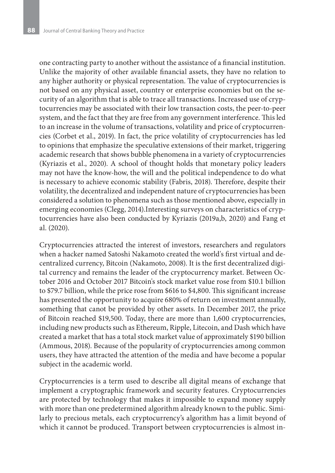one contracting party to another without the assistance of a financial institution. Unlike the majority of other available financial assets, they have no relation to any higher authority or physical representation. The value of cryptocurrencies is not based on any physical asset, country or enterprise economies but on the security of an algorithm that is able to trace all transactions. Increased use of cryptocurrencies may be associated with their low transaction costs, the peer-to-peer system, and the fact that they are free from any government interference. This led to an increase in the volume of transactions, volatility and price of cryptocurrencies (Corbet et al., 2019). In fact, the price volatility of cryptocurrencies has led to opinions that emphasize the speculative extensions of their market, triggering academic research that shows bubble phenomena in a variety of cryptocurrencies (Kyriazis et al., 2020). A school of thought holds that monetary policy leaders may not have the know-how, the will and the political independence to do what is necessary to achieve economic stability (Fabris, 2018). Therefore, despite their volatility, the decentralized and independent nature of cryptocurrencies has been considered a solution to phenomena such as those mentioned above, especially in emerging economies (Clegg, 2014).Interesting surveys on characteristics of cryptocurrencies have also been conducted by Kyriazis (2019a,b, 2020) and Fang et al. (2020).

Cryptocurrencies attracted the interest of investors, researchers and regulators when a hacker named Satoshi Nakamoto created the world's first virtual and decentralized currency, Bitcoin (Nakamoto, 2008). It is the first decentralized digital currency and remains the leader of the cryptocurrency market. Between October 2016 and October 2017 Bitcoin's stock market value rose from \$10.1 billion to \$79.7 billion, while the price rose from \$616 to \$4,800. This significant increase has presented the opportunity to acquire 680% of return on investment annually, something that canot be provided by other assets. In December 2017, the price of Bitcoin reached \$19,500. Today, there are more than 1,600 cryptocurrencies, including new products such as Ethereum, Ripple, Litecoin, and Dash which have created a market that has a total stock market value of approximately \$190 billion (Ammous, 2018). Because of the popularity of cryptocurrencies among common users, they have attracted the attention of the media and have become a popular subject in the academic world.

Cryptocurrencies is a term used to describe all digital means of exchange that implement a cryptographic framework and security features. Cryptocurrencies are protected by technology that makes it impossible to expand money supply with more than one predetermined algorithm already known to the public. Similarly to precious metals, each cryptocurrency's algorithm has a limit beyond of which it cannot be produced. Transport between cryptocurrencies is almost in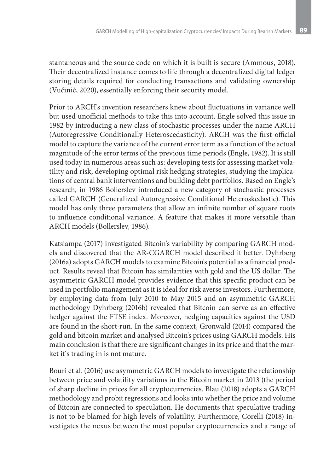stantaneous and the source code on which it is built is secure (Ammous, 2018). Their decentralized instance comes to life through a decentralized digital ledger storing details required for conducting transactions and validating ownership (Vučinić, 2020), essentially enforcing their security model.

Prior to ARCH's invention researchers knew about fluctuations in variance well but used unofficial methods to take this into account. Engle solved this issue in 1982 by introducing a new class of stochastic processes under the name ARCH (Autoregressive Conditionally Heteroscedasticity). ARCH was the first official model to capture the variance of the current error term as a function of the actual magnitude of the error terms of the previous time periods (Engle, 1982). It is still used today in numerous areas such as: developing tests for assessing market volatility and risk, developing optimal risk hedging strategies, studying the implications of central bank interventions and building debt portfolios. Based on Engle's research, in 1986 Bollerslev introduced a new category of stochastic processes called GARCH (Generalized Autoregressive Conditional Heteroskedastic). This model has only three parameters that allow an infinite number of square roots to influence conditional variance. A feature that makes it more versatile than ARCH models (Bollerslev, 1986).

Katsiampa (2017) investigated Bitcoin's variability by comparing GARCH models and discovered that the AR-CGARCH model described it better. Dyhrberg (2016a) adopts GARCH models to examine Bitcoin's potential as a financial product. Results reveal that Bitcoin has similarities with gold and the US dollar. The asymmetric GARCH model provides evidence that this specific product can be used in portfolio management as it is ideal for risk averse investors. Furthermore, by employing data from July 2010 to May 2015 and an asymmetric GARCH methodology Dyhrberg (2016b) revealed that Bitcoin can serve as an effective hedger against the FTSE index. Moreover, hedging capacities against the USD are found in the short-run. In the same context, Gronwald (2014) compared the gold and bitcoin market and analysed Bitcoin's prices using GARCH models. His main conclusion is that there are significant changes in its price and that the market it`s trading in is not mature.

Bouri et al. (2016) use asymmetric GARCH models to investigate the relationship between price and volatility variations in the Bitcoin market in 2013 (the period of sharp decline in prices for all cryptocurrencies. Blau (2018) adopts a GARCH methodology and probit regressions and looks into whether the price and volume of Bitcoin are connected to speculation. He documents that speculative trading is not to be blamed for high levels of volatility. Furthermore, Corelli (2018) investigates the nexus between the most popular cryptocurrencies and a range of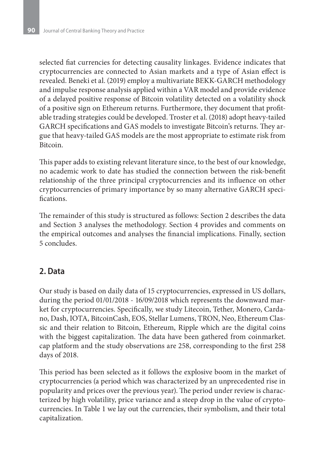selected fiat currencies for detecting causality linkages. Evidence indicates that cryptocurrencies are connected to Asian markets and a type of Asian effect is revealed. Beneki et al. (2019) employ a multivariate BEKK-GARCH methodology and impulse response analysis applied within a VAR model and provide evidence of a delayed positive response of Bitcoin volatility detected on a volatility shock of a positive sign on Ethereum returns. Furthermore, they document that profitable trading strategies could be developed. Troster et al. (2018) adopt heavy-tailed GARCH specifications and GAS models to investigate Bitcoin's returns. They argue that heavy-tailed GAS models are the most appropriate to estimate risk from Bitcoin.

This paper adds to existing relevant literature since, to the best of our knowledge, no academic work to date has studied the connection between the risk-benefit relationship of the three principal cryptocurrencies and its influence on other cryptocurrencies of primary importance by so many alternative GARCH specifications.

The remainder of this study is structured as follows: Section 2 describes the data and Section 3 analyses the methodology. Section 4 provides and comments on the empirical outcomes and analyses the financial implications. Finally, section 5 concludes.

## **2. Data**

Our study is based on daily data of 15 cryptocurrencies, expressed in US dollars, during the period 01/01/2018 - 16/09/2018 which represents the downward market for cryptocurrencies. Specifically, we study Litecoin, Tether, Monero, Cardano, Dash, IOTA, BitcoinCash, EOS, Stellar Lumens, TRON, Neo, Ethereum Classic and their relation to Bitcoin, Ethereum, Ripple which are the digital coins with the biggest capitalization. The data have been gathered from coinmarket. cap platform and the study observations are 258, corresponding to the first 258 days of 2018.

This period has been selected as it follows the explosive boom in the market of cryptocurrencies (a period which was characterized by an unprecedented rise in popularity and prices over the previous year). The period under review is characterized by high volatility, price variance and a steep drop in the value of cryptocurrencies. In Table 1 we lay out the currencies, their symbolism, and their total capitalization.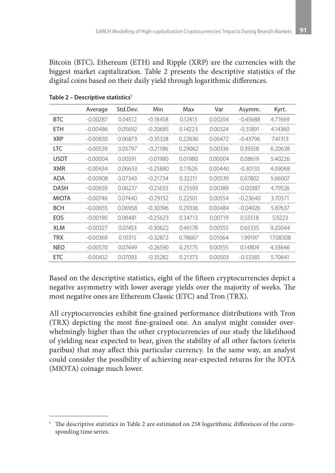Bitcoin (BTC), Ethereum (ETH) and Ripple (XRP) are the currencies with the biggest market capitalization. Table 2 presents the descriptive statistics of the digital coins based on their daily yield through logarithmic differences.

|              | Average    | Std.Dev. | Min        | Max     | Var     | Asymm.     | Kyrt.    |
|--------------|------------|----------|------------|---------|---------|------------|----------|
| <b>BTC</b>   | $-0.00287$ | 0.04512  | $-0.18458$ | 0.12413 | 0.00204 | $-0.45688$ | 4.71669  |
| <b>ETH</b>   | $-0.00486$ | 0.05692  | $-0.20685$ | 0.14223 | 0.00324 | $-0.31891$ | 4.14360  |
| <b>XRP</b>   | $-0.00830$ | 0.06873  | $-0.35328$ | 0.22636 | 0.00472 | $-0.43796$ | 7.41313  |
| <b>LTC</b>   | $-0.00539$ | 0.05797  | $-0.21186$ | 0.29062 | 0.00336 | 0.39358    | 6.20638  |
| <b>USDT</b>  | $-0.00004$ | 0.00591  | $-0.01980$ | 0.01980 | 0.00004 | 0.08619    | 5.40226  |
| XMR          | $-0.00434$ | 0.06633  | $-0.25880$ | 0.17626 | 0.00440 | $-0.30133$ | 4.09068  |
| ADA          | $-0.00908$ | 0.07343  | $-0.21734$ | 0.32211 | 0.00539 | 0.67802    | 5.66007  |
| <b>DASH</b>  | $-0.00659$ | 0.06237  | $-0.21633$ | 0.25593 | 0.00389 | $-0.00387$ | 4.79526  |
| <b>MIOTA</b> | $-0.00746$ | 0.07440  | $-0.29152$ | 0.22501 | 0.00554 | $-0.23640$ | 3.70571  |
| <b>BCH</b>   | $-0.00655$ | 0.06958  | $-0.30396$ | 0.29336 | 0.00484 | $-0.04926$ | 5.87637  |
| EOS          | $-0.00190$ | 0.08481  | $-0.25623$ | 0.34713 | 0.00719 | 0.55518    | 5.9223   |
| XLM          | $-0.00327$ | 0.07453  | $-0.30622$ | 0.46178 | 0.00555 | 0.65335    | 9.20044  |
| TRX          | $-0.00369$ | 0.10315  | $-0.32872$ | 0.78667 | 0.01064 | 1.99197    | 17.08308 |
| <b>NEO</b>   | $-0.00570$ | 0.07449  | $-0.26590$ | 0.25175 | 0.00555 | 0.14809    | 4.33646  |
| <b>ETC</b>   | $-0.00432$ | 0.07093  | $-0.35282$ | 0.21373 | 0.00503 | $-0.53385$ | 5.70641  |

Table 2 - Descriptive statistics<sup>1</sup>

Based on the descriptive statistics, eight of the fifteen cryptocurrencies depict a negative asymmetry with lower average yields over the majority of weeks. The most negative ones are Ethereum Classic (ETC) and Tron (TRX).

All cryptocurrencies exhibit fine-grained performance distributions with Tron (TRX) depicting the most fine-grained one. An analyst might consider overwhelmingly higher than the other cryptocurrencies of our study the likelihood of yielding near expected to bear, given the stability of all other factors (ceteris paribus) that may affect this particular currency. In the same way, an analyst could consider the possibility of achieving near-expected returns for the IOTA (MIOTA) coinage much lower.

<sup>&</sup>lt;sup>1</sup> The descriptive statistics in Table 2 are estimated on 258 logarithmic differences of the corresponding time series.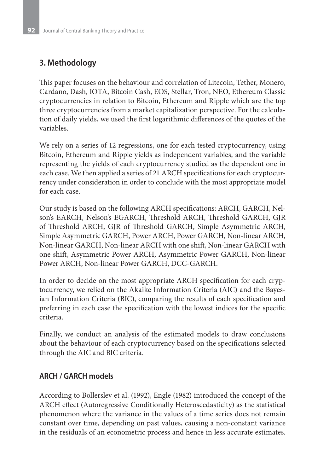## **3. Methodology**

This paper focuses on the behaviour and correlation of Litecoin, Tether, Monero, Cardano, Dash, IOTA, Bitcoin Cash, EOS, Stellar, Tron, NEO, Ethereum Classic cryptocurrencies in relation to Bitcoin, Ethereum and Ripple which are the top three cryptocurrencies from a market capitalization perspective. For the calculation of daily yields, we used the first logarithmic differences of the quotes of the variables.

We rely on a series of 12 regressions, one for each tested cryptocurrency, using Bitcoin, Ethereum and Ripple yields as independent variables, and the variable representing the yields of each cryptocurrency studied as the dependent one in each case. We then applied a series of 21 ARCH specifications for each cryptocurrency under consideration in order to conclude with the most appropriate model for each case.

Our study is based on the following ARCH specifications: ARCH, GARCH, Nelson's EARCH, Nelson's EGARCH, Threshold ARCH, Threshold GARCH, GJR of Threshold ARCH, GJR of Threshold GARCH, Simple Asymmetric ARCH, Simple Asymmetric GARCH, Power ARCH, Power GARCH, Non-linear ARCH, Non-linear GARCH, Non-linear ARCH with one shift, Non-linear GARCH with one shift, Asymmetric Power ARCH, Asymmetric Power GARCH, Non-linear Power ARCH, Non-linear Power GARCH, DCC-GARCH.

In order to decide on the most appropriate ARCH specification for each cryptocurrency, we relied on the Akaike Information Criteria (AIC) and the Bayesian Information Criteria (BIC), comparing the results of each specification and preferring in each case the specification with the lowest indices for the specific criteria.

Finally, we conduct an analysis of the estimated models to draw conclusions about the behaviour of each cryptocurrency based on the specifications selected through the AIC and BIC criteria.

#### **ARCH / GARCH models**

According to Bollerslev et al. (1992), Engle (1982) introduced the concept of the ARCH effect (Autoregressive Conditionally Heteroscedasticity) as the statistical phenomenon where the variance in the values of a time series does not remain constant over time, depending on past values, causing a non-constant variance in the residuals of an econometric process and hence in less accurate estimates.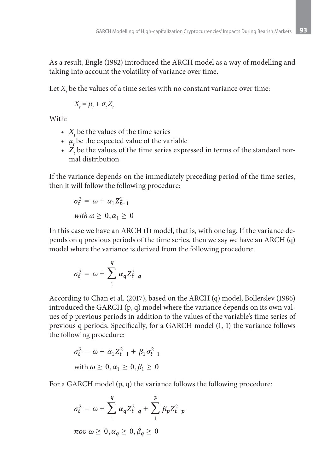As a result, Engle (1982) introduced the ARCH model as a way of modelling and taking into account the volatility of variance over time.

Let  $X_t$  be the values of a time series with no constant variance over time:

$$
X_t = \mu_t + \sigma_t Z_t
$$

With:

- $X_t$  be the values of the time series
- $\mu_t$  be the expected value of the variable
- $Z_t$  be the values of the time series expressed in terms of the standard normal distribution

If the variance depends on the immediately preceding period of the time series, then it will follow the following procedure:

$$
\sigma_t^2 = \omega + \alpha_1 Z_{t-1}^2
$$
  
with  $\omega \ge 0, \alpha_1 \ge 0$ 

In this case we have an ARCH (1) model, that is, with one lag. If the variance depends on q previous periods of the time series, then we say we have an ARCH (q) model where the variance is derived from the following procedure:

$$
\sigma_t^2 = \omega + \sum_1^q \alpha_q Z_{t-q}^2
$$

According to Chan et al. (2017), based on the ARCH (q) model, Bollerslev (1986) introduced the GARCH (p, q) model where the variance depends on its own values of p previous periods in addition to the values of the variable's time series of previous q periods. Specifically, for a GARCH model (1, 1) the variance follows the following procedure:

$$
\sigma_t^2 = \omega + \alpha_1 Z_{t-1}^2 + \beta_1 \sigma_{t-1}^2
$$
  
with  $\omega \ge 0, \alpha_1 \ge 0, \beta_1 \ge 0$ 

For a GARCH model (p, q) the variance follows the following procedure:

$$
\sigma_t^2 = \omega + \sum_{1}^{q} \alpha_q Z_{t-q}^2 + \sum_{1}^{p} \beta_p Z_{t-p}^2
$$
  
 
$$
\pi \omega \omega \ge 0, \alpha_q \ge 0, \beta_q \ge 0
$$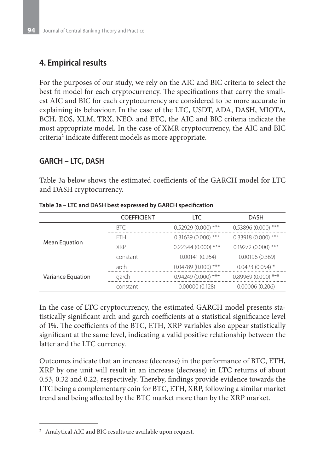## **4. Empirical results**

For the purposes of our study, we rely on the AIC and BIC criteria to select the best fit model for each cryptocurrency. The specifications that carry the smallest AIC and BIC for each cryptocurrency are considered to be more accurate in explaining its behaviour. In the case of the LTC, USDT, ADA, DASH, MIOTA, BCH, EOS, XLM, TRX, NEO, and ETC, the AIC and BIC criteria indicate the most appropriate model. In the case of XMR cryptocurrency, the AIC and BIC criteria<sup>2</sup> indicate different models as more appropriate.

### **GARCH – LTC, DASH**

Table 3a below shows the estimated coefficients of the GARCH model for LTC and DASH cryptocurrency.

|                   | <b>COEFFICIENT</b> | LTC                  | <b>DASH</b>             |
|-------------------|--------------------|----------------------|-------------------------|
|                   | <b>BTC</b>         | $0.52929(0.000)$ *** | $***$<br>0.53896(0.000) |
|                   | FTH                | $0.31639(0.000)$ *** | $0.33918(0.000)$ ***    |
| Mean Equation     | <b>XRP</b>         | $0.22344(0.000)$ *** | $0.19272(0.000)$ ***    |
|                   | constant           | $-0.00141(0.264)$    | $-0.00196(0.369)$       |
|                   | arch               | $0.04789(0.000)$ *** | $0.0423(0.054)$ *       |
| Variance Equation | garch              | $0.94249(0.000)$ *** | $0.89969(0.000)$ ***    |
|                   | constant           | 0.00000(0.128)       | 0.00006(0.206)          |

**Table 3a – LTC and DASH best expressed by GARCH specification**

In the case of LTC cryptocurrency, the estimated GARCH model presents statistically significant arch and garch coefficients at a statistical significance level of 1%. The coefficients of the BTC, ETH, XRP variables also appear statistically significant at the same level, indicating a valid positive relationship between the latter and the LTC currency.

Outcomes indicate that an increase (decrease) in the performance of BTC, ETH, XRP by one unit will result in an increase (decrease) in LTC returns of about 0.53, 0.32 and 0.22, respectively. Thereby, findings provide evidence towards the LTC being a complementary coin for BTC, ETH, XRP, following a similar market trend and being affected by the BTC market more than by the XRP market.

<sup>2</sup> Analytical AIC and BIC results are available upon request.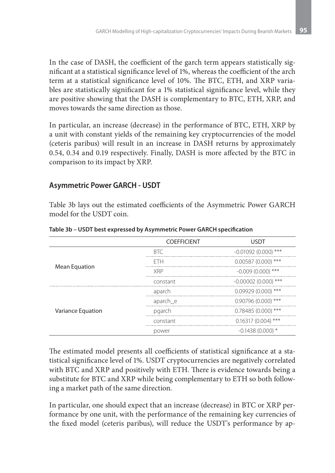In the case of DASH, the coefficient of the garch term appears statistically significant at a statistical significance level of 1%, whereas the coefficient of the arch term at a statistical significance level of 10%. The BTC, ETH, and XRP variables are statistically significant for a 1% statistical significance level, while they are positive showing that the DASH is complementary to BTC, ETH, XRP, and moves towards the same direction as those.

In particular, an increase (decrease) in the performance of BTC, ETH, XRP by a unit with constant yields of the remaining key cryptocurrencies of the model (ceteris paribus) will result in an increase in DASH returns by approximately 0.54, 0.34 and 0.19 respectively. Finally, DASH is more affected by the BTC in comparison to its impact by XRP.

### **Asymmetric Power GARCH - USDT**

Table 3b lays out the estimated coefficients of the Asymmetric Power GARCH model for the USDT coin.

|                   | <b>COEFFICIENT</b> | <b>USDT</b>            |
|-------------------|--------------------|------------------------|
|                   | <b>BTC</b>         | $-0.01092$ (0.000) *** |
|                   | <b>FTH</b>         | $0.00587(0.000)$ ***   |
| Mean Equation     | <b>XRP</b>         | $-0.009(0.000)$ ***    |
|                   | constant           | $-0.00002(0.000)****$  |
|                   | aparch             | $0.09929(0.000)$ ***   |
|                   | aparch_e           | $0.90796(0.000)$ ***   |
| Variance Equation | pgarch             | $0.78485(0.000)****$   |
|                   | constant           | $0.16317(0.004)$ ***   |
|                   | power              | $-0.1438(0.000)*$      |

**Table 3b – USDT best expressed by Asymmetric Power GARCH specification**

The estimated model presents all coefficients of statistical significance at a statistical significance level of 1%. USDT cryptocurrencies are negatively correlated with BTC and XRP and positively with ETH. There is evidence towards being a substitute for BTC and XRP while being complementary to ETH so both following a market path of the same direction.

In particular, one should expect that an increase (decrease) in BTC or XRP performance by one unit, with the performance of the remaining key currencies of the fixed model (ceteris paribus), will reduce the USDT's performance by ap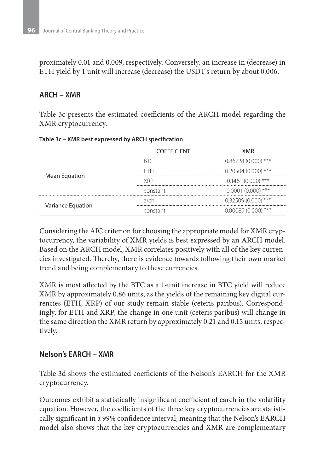proximately 0.01 and 0.009, respectively. Conversely, an increase in (decrease) in ETH yield by 1 unit will increase (decrease) the USDT's return by about 0.006.

#### **ARCH – XMR**

Table 3c presents the estimated coefficients of the ARCH model regarding the XMR cryptocurrency.

|                   | <b>COEFFICIENT</b> | <b>XMR</b>           |
|-------------------|--------------------|----------------------|
|                   | RTC                | $0.86728(0.000)$ *** |
|                   | <b>FTH</b>         | $0.20504(0.000)$ *** |
| Mean Equation     | <b>XRP</b>         | $0.1461(0.000)$ ***  |
|                   | constant           | $0.0001(0.000)$ ***  |
|                   | arch               | $0.32509(0.000)$ *** |
| Variance Equation | constant           | $0.00089(0.000)$ *** |

**Table 3c – XMR best expressed by ARCH specification**

Considering the AIC criterion for choosing the appropriate model for XMR cryptocurrency, the variability of XMR yields is best expressed by an ARCH model. Based on the ARCH model, XMR correlates positively with all of the key currencies investigated. Thereby, there is evidence towards following their own market trend and being complementary to these currencies.

XMR is most affected by the BTC as a 1-unit increase in BTC yield will reduce XMR by approximately 0.86 units, as the yields of the remaining key digital currencies (ETH, XRP) of our study remain stable (ceteris paribus). Correspondingly, for ETH and XRP, the change in one unit (ceteris paribus) will change in the same direction the XMR return by approximately 0.21 and 0.15 units, respectively.

#### **Nelson's EARCH – XMR**

Table 3d shows the estimated coefficients of the Nelson's EARCH for the XMR cryptocurrency.

Outcomes exhibit a statistically insignificant coefficient of earch in the volatility equation. However, the coefficients of the three key cryptocurrencies are statistically significant in a 99% confidence interval, meaning that the Nelson's EARCH model also shows that the key cryptocurrencies and XMR are complementary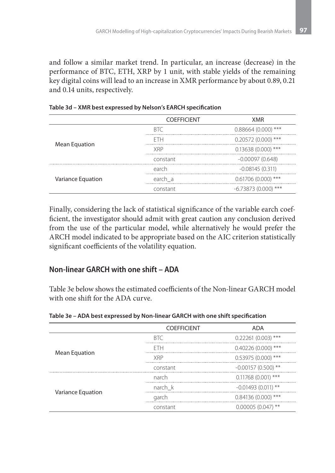and follow a similar market trend. In particular, an increase (decrease) in the performance of BTC, ETH, XRP by 1 unit, with stable yields of the remaining key digital coins will lead to an increase in XMR performance by about 0.89, 0.21 and 0.14 units, respectively.

|                   | <b>COEFFICIENT</b> | <b>XMR</b>            |
|-------------------|--------------------|-----------------------|
|                   | <b>BTC</b>         | $0.88664(0.000)$ ***  |
|                   | FTH                | $0.20572(0.000)$ ***  |
| Mean Equation     | <b>XRP</b>         | $0.13638(0.000)$ ***  |
|                   | constant           | $-0.00097(0.648)$     |
|                   | earch              | $-0.08145(0.311)$     |
| Variance Equation | earch a            | $0.61706(0.000)$ ***  |
|                   | constant           | $-6.73873(0.000)****$ |

Finally, considering the lack of statistical significance of the variable earch coefficient, the investigator should admit with great caution any conclusion derived from the use of the particular model, while alternatively he would prefer the ARCH model indicated to be appropriate based on the AIC criterion statistically significant coefficients of the volatility equation.

### **Non-linear GARCH with one shift – ADA**

Table 3e below shows the estimated coefficients of the Non-linear GARCH model with one shift for the ADA curve.

|                   | <b>COEFFICIENT</b> | <b>ADA</b>           |
|-------------------|--------------------|----------------------|
|                   | <b>BTC</b>         | $0.22261(0.003)$ *** |
|                   | <b>FTH</b>         | $0.40226(0.000)$ *** |
| Mean Equation     | <b>XRP</b>         | $0.53975(0.000)$ *** |
|                   | constant           | $-0.00157(0.500)$ ** |
|                   | narch              | $0.11768(0.001)$ *** |
|                   | narch k            | $-0.01493(0.011)$ ** |
| Variance Equation | garch              | $0.84136(0.000)$ *** |
|                   | constant           | $0.00005(0.047)$ **  |

**Table 3e – ADA best expressed by Non-linear GARCH with one shift specification**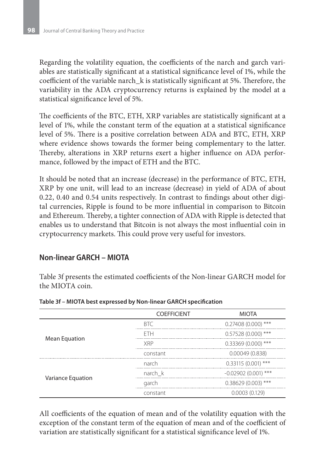Regarding the volatility equation, the coefficients of the narch and garch variables are statistically significant at a statistical significance level of 1%, while the coefficient of the variable narch\_k is statistically significant at 5%. Therefore, the variability in the ADA cryptocurrency returns is explained by the model at a statistical significance level of 5%.

The coefficients of the BTC, ETH, XRP variables are statistically significant at a level of 1%, while the constant term of the equation at a statistical significance level of 5%. There is a positive correlation between ADA and BTC, ETH, XRP where evidence shows towards the former being complementary to the latter. Thereby, alterations in XRP returns exert a higher influence on ADA performance, followed by the impact of ETH and the BTC.

It should be noted that an increase (decrease) in the performance of BTC, ETH, XRP by one unit, will lead to an increase (decrease) in yield of ADA of about 0.22, 0.40 and 0.54 units respectively. In contrast to findings about other digital currencies, Ripple is found to be more influential in comparison to Bitcoin and Ethereum. Thereby, a tighter connection of ADA with Ripple is detected that enables us to understand that Bitcoin is not always the most influential coin in cryptocurrency markets. This could prove very useful for investors.

#### **Non-linear GARCH – MIOTA**

Table 3f presents the estimated coefficients of the Non-linear GARCH model for the MIOTA coin.

|                   | <b>COEFFICIENT</b> | <b>MIOTA</b>          |
|-------------------|--------------------|-----------------------|
|                   | <b>BTC</b>         | $0.27408(0.000)****$  |
|                   | <b>FTH</b>         | $0.57528(0.000)$ ***  |
| Mean Equation     | <b>XRP</b>         | $0.33369(0.000)****$  |
|                   | constant           | 0.00049(0.838)        |
|                   | narch              | $0.33115(0.001)$ ***  |
|                   | narch k            | $-0.02902(0.001)$ *** |
| Variance Equation | garch              | $0.38629(0.003)$ ***  |
|                   | constant           | 0.0003(0.129)         |

#### **Table 3f – MIOTA best expressed by Non-linear GARCH specification**

All coefficients of the equation of mean and of the volatility equation with the exception of the constant term of the equation of mean and of the coefficient of variation are statistically significant for a statistical significance level of 1%.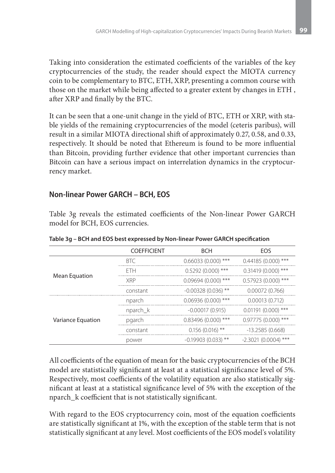Taking into consideration the estimated coefficients of the variables of the key cryptocurrencies of the study, the reader should expect the MIOTA currency coin to be complementary to BTC, ETH, XRP, presenting a common course with those on the market while being affected to a greater extent by changes in ETH , after XRP and finally by the BTC.

It can be seen that a one-unit change in the yield of BTC, ETH or XRP, with stable yields of the remaining cryptocurrencies of the model (ceteris paribus), will result in a similar MIOTA directional shift of approximately 0.27, 0.58, and 0.33, respectively. It should be noted that Ethereum is found to be more influential than Bitcoin, providing further evidence that other important currencies than Bitcoin can have a serious impact on interrelation dynamics in the cryptocurrency market.

### **Non-linear Power GARCH – BCH, EOS**

Table 3g reveals the estimated coefficients of the Non-linear Power GARCH model for BCH, EOS currencies.

|                   | <b>COEFFICIENT</b> | <b>BCH</b>           | EOS                   |
|-------------------|--------------------|----------------------|-----------------------|
|                   | <b>BTC</b>         | $0.66033(0.000)$ *** | $0.44185(0.000)$ ***  |
|                   | <b>FTH</b>         | $0.5292(0.000)$ ***  | $0.31419(0.000)$ ***  |
| Mean Equation     | <b>XRP</b>         | $0.09694(0.000)$ *** | $0.57923(0.000)$ ***  |
|                   | constant           | $-0.00328(0.036)$ ** | 0.00072(0.766)        |
|                   | nparch             | $0.06936(0.000)$ *** | 0.00013(0.712)        |
|                   | nparch_k           | $-0.00017(0.915)$    | $0.01191(0.000)$ ***  |
| Variance Equation | pgarch             | $0.83496(0.000)$ *** | $0.97775(0.000)$ ***  |
|                   | constant           | $0.156(0.016)$ **    | $-13.2585(0.668)$     |
|                   | power              | $-0.19903(0.033)$ ** | $-2.3021(0.0004)$ *** |

**Table 3g – BCH and EOS best expressed by Non-linear Power GARCH specification**

All coefficients of the equation of mean for the basic cryptocurrencies of the BCH model are statistically significant at least at a statistical significance level of 5%. Respectively, most coefficients of the volatility equation are also statistically significant at least at a statistical significance level of 5% with the exception of the nparch\_k coefficient that is not statistically significant.

With regard to the EOS cryptocurrency coin, most of the equation coefficients are statistically significant at 1%, with the exception of the stable term that is not statistically significant at any level. Most coefficients of the EOS model's volatility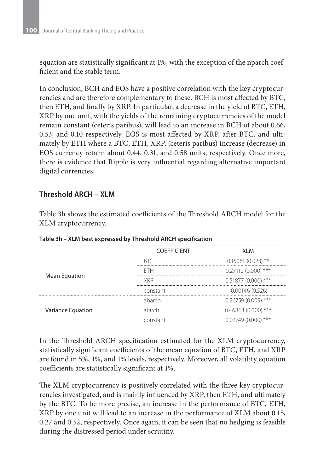equation are statistically significant at 1%, with the exception of the nparch coefficient and the stable term.

In conclusion, BCH and EOS have a positive correlation with the key cryptocurrencies and are therefore complementary to these. BCH is most affected by BTC, then ETH, and finally by XRP. In particular, a decrease in the yield of BTC, ETH, XRP by one unit, with the yields of the remaining cryptocurrencies of the model remain constant (ceteris paribus), will lead to an increase in BCH of about 0.66, 0.53, and 0.10 respectively. EOS is most affected by XRP, after BTC, and ultimately by ETH where a BTC, ETH, XRP, (ceteris paribus) increase (decrease) in EOS currency return about 0.44, 0.31, and 0.58 units, respectively. Once more, there is evidence that Ripple is very influential regarding alternative important digital currencies.

#### **Threshold ARCH – XLM**

Table 3h shows the estimated coefficients of the Threshold ARCH model for the XLM cryptocurrency.

|                   | <b>COEFFICIENT</b> | <b>XLM</b>           |
|-------------------|--------------------|----------------------|
|                   | RTC                | $0.15061(0.023)$ **  |
|                   | <b>FTH</b>         | $0.27112(0.000)$ *** |
| Mean Equation     | <b>XRP</b>         | $0.51877(0.000)****$ |
|                   | constant           | $-0.00146(0.526)$    |
|                   | abarch             | $0.26759(0.009)$ *** |
| Variance Equation | atarch             | $0.46863(0.000)$ *** |
|                   | constant           | $0.02749(0.000)$ *** |

**Table 3h – XLM best expressed by Threshold ARCH specification**

In the Threshold ARCH specification estimated for the XLM cryptocurrency, statistically significant coefficients of the mean equation of BTC, ETH, and XRP are found in 5%, 1%, and 1% levels, respectively. Moreover, all volatility equation coefficients are statistically significant at 1%.

The XLM cryptocurrency is positively correlated with the three key cryptocurrencies investigated, and is mainly influenced by XRP, then ETH, and ultimately by the BTC. To be more precise, an increase in the performance of BTC, ETH, XRP by one unit will lead to an increase in the performance of XLM about 0.15, 0.27 and 0.52, respectively. Once again, it can be seen that no hedging is feasible during the distressed period under scrutiny.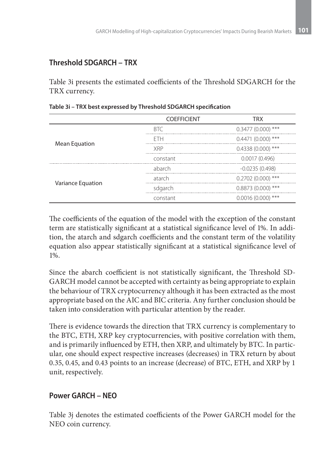### **Threshold SDGARCH – TRX**

Table 3i presents the estimated coefficients of the Threshold SDGARCH for the TRX currency.

|                   | <b>COEFFICIENT</b> | <b>TRX</b>          |
|-------------------|--------------------|---------------------|
|                   | <b>BTC</b>         | $0.3477(0.000)$ *** |
|                   | FTH                | $0.4471(0.000)$ *** |
| Mean Equation     | <b>XRP</b>         | $0.4338(0.000)$ *** |
|                   | constant           | 0.0017(0.496)       |
|                   | abarch             | $-0.0235(0.498)$    |
|                   | atarch             | $0.2702(0.000)$ *** |
| Variance Equation | sdgarch            | $0.8873(0.000)$ *** |
|                   | constant           | $0.0016(0.000)$ *** |

The coefficients of the equation of the model with the exception of the constant term are statistically significant at a statistical significance level of 1%. In addition, the atarch and sdgarch coefficients and the constant term of the volatility equation also appear statistically significant at a statistical significance level of 1%.

Since the abarch coefficient is not statistically significant, the Threshold SD-GARCH model cannot be accepted with certainty as being appropriate to explain the behaviour of TRX cryptocurrency although it has been extracted as the most appropriate based on the AIC and BIC criteria. Any further conclusion should be taken into consideration with particular attention by the reader.

There is evidence towards the direction that TRX currency is complementary to the BTC, ETH, XRP key cryptocurrencies, with positive correlation with them, and is primarily influenced by ETH, then XRP, and ultimately by BTC. In particular, one should expect respective increases (decreases) in TRX return by about 0.35, 0.45, and 0.43 points to an increase (decrease) of BTC, ETH, and XRP by 1 unit, respectively.

#### **Power GARCH – NEO**

Table 3j denotes the estimated coefficients of the Power GARCH model for the NEO coin currency.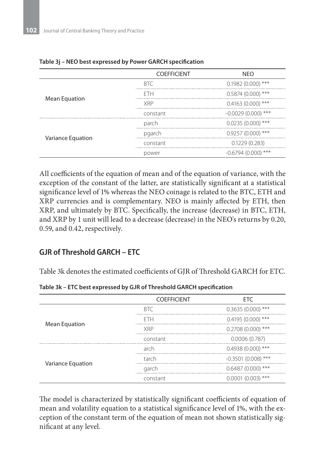|                   | <b>COEFFICIENT</b> | <b>NEO</b>           |
|-------------------|--------------------|----------------------|
| Mean Equation     | <b>BTC</b>         | $0.1982(0.000)$ ***  |
|                   | <b>FTH</b>         | $0.5874(0.000)$ ***  |
|                   | <b>XRP</b>         | $0.4163(0.000)$ ***  |
|                   | constant           | $-0.0029(0.000)$ *** |
| Variance Equation | parch              | $0.0235(0.000)$ ***  |
|                   | pgarch             | $0.9257(0.000)$ ***  |
|                   | constant           | 0.1229(0.283)        |
|                   | power              | $-0.6794(0.000)$ *** |

#### **Table 3j – NEO best expressed by Power GARCH specification**

All coefficients of the equation of mean and of the equation of variance, with the exception of the constant of the latter, are statistically significant at a statistical significance level of 1% whereas the NEO coinage is related to the BTC, ETH and XRP currencies and is complementary. NEO is mainly affected by ETH, then XRP, and ultimately by BTC. Specifically, the increase (decrease) in BTC, ETH, and XRP by 1 unit will lead to a decrease (decrease) in the NEO's returns by 0.20, 0.59, and 0.42, respectively.

### **GJR of Threshold GARCH – ETC**

Table 3k denotes the estimated coefficients of GJR of Threshold GARCH for ETC.

|                   | <b>COEFFICIENT</b> | <b>ETC</b>           |
|-------------------|--------------------|----------------------|
|                   |                    |                      |
| Mean Equation     | <b>BTC</b>         | $0.3635(0.000)$ ***  |
|                   | <b>FTH</b>         | $0.4195(0.000)$ ***  |
|                   | <b>XRP</b>         | $0.2708(0.000)$ ***  |
|                   | constant           | 0.0006(0.787)        |
| Variance Equation | arch               | $0.4938(0.000)$ ***  |
|                   | tarch              | $-0.3501(0.008)$ *** |
|                   | garch              | $0.6487(0.000)$ ***  |
|                   | constant           | $0.0001(0.003)$ ***  |

**Table 3k – ETC best expressed by GJR of Threshold GARCH specification**

The model is characterized by statistically significant coefficients of equation of mean and volatility equation to a statistical significance level of 1%, with the exception of the constant term of the equation of mean not shown statistically significant at any level.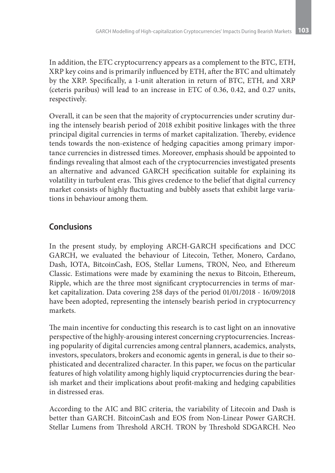In addition, the ETC cryptocurrency appears as a complement to the BTC, ETH, XRP key coins and is primarily influenced by ETH, after the BTC and ultimately by the XRP. Specifically, a 1-unit alteration in return of BTC, ETH, and XRP (ceteris paribus) will lead to an increase in ETC of 0.36, 0.42, and 0.27 units, respectively.

Overall, it can be seen that the majority of cryptocurrencies under scrutiny during the intensely bearish period of 2018 exhibit positive linkages with the three principal digital currencies in terms of market capitalization. Thereby, evidence tends towards the non-existence of hedging capacities among primary importance currencies in distressed times. Moreover, emphasis should be appointed to findings revealing that almost each of the cryptocurrencies investigated presents an alternative and advanced GARCH specification suitable for explaining its volatility in turbulent eras. This gives credence to the belief that digital currency market consists of highly fluctuating and bubbly assets that exhibit large variations in behaviour among them.

# **Conclusions**

In the present study, by employing ARCH-GARCH specifications and DCC GARCH, we evaluated the behaviour of Litecoin, Tether, Monero, Cardano, Dash, IOTA, BitcoinCash, EOS, Stellar Lumens, TRON, Neo, and Ethereum Classic. Estimations were made by examining the nexus to Bitcoin, Ethereum, Ripple, which are the three most significant cryptocurrencies in terms of market capitalization. Data covering 258 days of the period 01/01/2018 - 16/09/2018 have been adopted, representing the intensely bearish period in cryptocurrency markets.

The main incentive for conducting this research is to cast light on an innovative perspective of the highly-arousing interest concerning cryptocurrencies. Increasing popularity of digital currencies among central planners, academics, analysts, investors, speculators, brokers and economic agents in general, is due to their sophisticated and decentralized character. In this paper, we focus on the particular features of high volatility among highly liquid cryptocurrencies during the bearish market and their implications about profit-making and hedging capabilities in distressed eras.

According to the AIC and BIC criteria, the variability of Litecoin and Dash is better than GARCH. BitcoinCash and EOS from Non-Linear Power GARCH. Stellar Lumens from Threshold ARCH. TRON by Threshold SDGARCH. Neo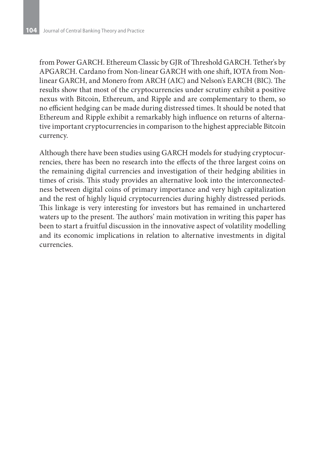from Power GARCH. Ethereum Classic by GJR of Threshold GARCH. Tether's by APGARCH. Cardano from Non-linear GARCH with one shift, IOTA from Nonlinear GARCH, and Monero from ARCH (AIC) and Nelson's EARCH (BIC). The results show that most of the cryptocurrencies under scrutiny exhibit a positive nexus with Bitcoin, Ethereum, and Ripple and are complementary to them, so no efficient hedging can be made during distressed times. It should be noted that Ethereum and Ripple exhibit a remarkably high influence on returns of alternative important cryptocurrencies in comparison to the highest appreciable Bitcoin currency.

Although there have been studies using GARCH models for studying cryptocurrencies, there has been no research into the effects of the three largest coins on the remaining digital currencies and investigation of their hedging abilities in times of crisis. This study provides an alternative look into the interconnectedness between digital coins of primary importance and very high capitalization and the rest of highly liquid cryptocurrencies during highly distressed periods. This linkage is very interesting for investors but has remained in unchartered waters up to the present. The authors' main motivation in writing this paper has been to start a fruitful discussion in the innovative aspect of volatility modelling and its economic implications in relation to alternative investments in digital currencies.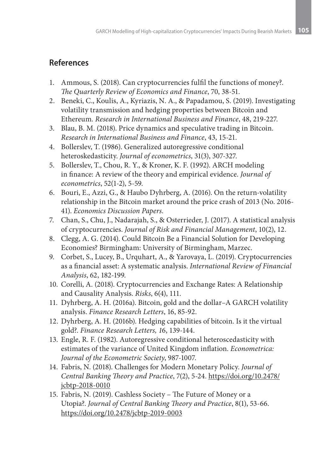### **References**

- 1. Ammous, S. (2018). Can cryptocurrencies fulfil the functions of money?. *The Quarterly Review of Economics and Finance*, 70, 38-51.
- 2. Beneki, C., Koulis, A., Kyriazis, N. A., & Papadamou, S. (2019). Investigating volatility transmission and hedging properties between Bitcoin and Ethereum. *Research in International Business and Finance*, 48, 219-227.
- 3. Blau, B. M. (2018). Price dynamics and speculative trading in Bitcoin. *Research in International Business and Finance*, 43, 15-21.
- 4. Bollerslev, T. (1986). Generalized autoregressive conditional heteroskedasticity. *Journal of econometrics*, 31(3), 307-327.
- 5. Bollerslev, T., Chou, R. Y., & Kroner, K. F. (1992). ARCH modeling in finance: A review of the theory and empirical evidence. *Journal of econometrics*, 52(1-2), 5-59.
- 6. Bouri, E., Azzi, G., & Haubo Dyhrberg, A. (2016). On the return-volatility relationship in the Bitcoin market around the price crash of 2013 (No. 2016- 41). *Economics Discussion Papers*.
- 7. Chan, S., Chu, J., Nadarajah, S., & Osterrieder, J. (2017). A statistical analysis of cryptocurrencies. *Journal of Risk and Financial Management*, 10(2), 12.
- 8. Clegg, A. G. (2014). Could Bitcoin Be a Financial Solution for Developing Economies? Birmingham: University of Birmingham, Marzec.
- 9. Corbet, S., Lucey, B., Urquhart, A., & Yarovaya, L. (2019). Cryptocurrencies as a financial asset: A systematic analysis. *International Review of Financial Analysis*, 62, 182-199.
- 10. Corelli, A. (2018). Cryptocurrencies and Exchange Rates: A Relationship and Causality Analysis. *Risks*, 6(4), 111.
- 11. Dyhrberg, A. H. (2016a). Bitcoin, gold and the dollar–A GARCH volatility analysis. *Finance Research Letters*, 16, 85-92.
- 12. Dyhrberg, A. H. (2016b). Hedging capabilities of bitcoin. Is it the virtual gold?. *Finance Research Letters, 1*6, 139-144.
- 13. Engle, R. F. (1982). Autoregressive conditional heteroscedasticity with estimates of the variance of United Kingdom inflation. *Econometrica: Journal of the Econometric Society*, 987-1007.
- 14. Fabris, N. (2018). Challenges for Modern Monetary Policy. *Journal of Central Banking Theory and Practice*, 7(2), 5-24. https://doi.org/10.2478/ jcbtp-2018-0010
- 15. Fabris, N. (2019). Cashless Society The Future of Money or a Utopia?. *Journal of Central Banking Theory and Practice*, 8(1), 53-66. https://doi.org/10.2478/jcbtp-2019-0003